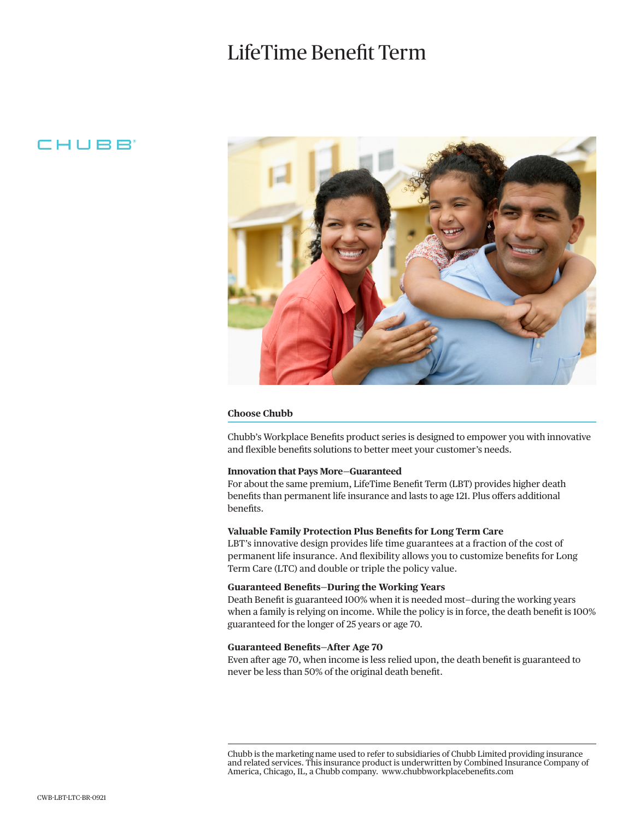# LifeTime Benefit Term





### **Choose Chubb**

Chubb's Workplace Benefits product series is designed to empower you with innovative and flexible benefits solutions to better meet your customer's needs.

### **Innovation that Pays More—Guaranteed**

For about the same premium, LifeTime Benefit Term (LBT) provides higher death benefits than permanent life insurance and lasts to age 121. Plus offers additional benefits.

# **Valuable Family Protection Plus Benefits for Long Term Care**

LBT's innovative design provides life time guarantees at a fraction of the cost of permanent life insurance. And flexibility allows you to customize benefits for Long Term Care (LTC) and double or triple the policy value.

### **Guaranteed Benefits—During the Working Years**

Death Benefit is guaranteed 100% when it is needed most—during the working years when a family is relying on income. While the policy is in force, the death benefit is 100% guaranteed for the longer of 25 years or age 70.

### **Guaranteed Benefits—After Age 70**

Even after age 70, when income is less relied upon, the death benefit is guaranteed to never be less than 50% of the original death benefit.

Chubb is the marketing name used to refer to subsidiaries of Chubb Limited providing insurance and related services. This insurance product is underwritten by Combined Insurance Company of America, Chicago, IL, a Chubb company. www.chubbworkplacebenefits.com